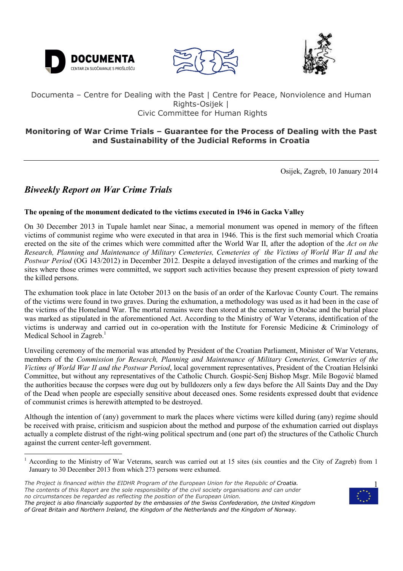





# Documenta – Centre for Dealing with the Past | Centre for Peace, Nonviolence and Human Rights-Osijek | Civic Committee for Human Rights

# **Monitoring of War Crime Trials – Guarantee for the Process of Dealing with the Past and Sustainability of the Judicial Reforms in Croatia**

Osijek, Zagreb, 10 January 2014

# *Biweekly Report on War Crime Trials*

ֺ֖֚֝֬

 $\overline{a}$ 

## **The opening of the monument dedicated to the victims executed in 1946 in Gacka Valley**

On 30 December 2013 in Tupale hamlet near Sinac, a memorial monument was opened in memory of the fifteen victims of communist regime who were executed in that area in 1946. This is the first such memorial which Croatia erected on the site of the crimes which were committed after the World War II, after the adoption of the *Act on the Research, Planning and Maintenance of Military Cemeteries, Cemeteries of the Victims of World War II and the Postwar Period* (OG 143/2012) in December 2012. Despite a delayed investigation of the crimes and marking of the sites where those crimes were committed, we support such activities because they present expression of piety toward the killed persons.

The exhumation took place in late October 2013 on the basis of an order of the Karlovac County Court. The remains of the victims were found in two graves. During the exhumation, a methodology was used as it had been in the case of the victims of the Homeland War. The mortal remains were then stored at the cemetery in Otočac and the burial place was marked as stipulated in the aforementioned Act. According to the Ministry of War Veterans, identification of the victims is underway and carried out in co-operation with the Institute for Forensic Medicine & Criminology of Medical School in Zagreb.<sup>1</sup>

Unveiling ceremony of the memorial was attended by President of the Croatian Parliament, Minister of War Veterans, members of the *Commission for Research, Planning and Maintenance of Military Cemeteries, Cemeteries of the Victims of World War II and the Postwar Period*, local government representatives, President of the Croatian Helsinki Committee, but without any representatives of the Catholic Church. Gospić-Senj Bishop Msgr. Mile Bogović blamed the authorities because the corpses were dug out by bulldozers only a few days before the All Saints Day and the Day of the Dead when people are especially sensitive about deceased ones. Some residents expressed doubt that evidence of communist crimes is herewith attempted to be destroyed.

Although the intention of (any) government to mark the places where victims were killed during (any) regime should be received with praise, criticism and suspicion about the method and purpose of the exhumation carried out displays actually a complete distrust of the right-wing political spectrum and (one part of) the structures of the Catholic Church against the current center-left government.



<sup>1</sup> According to the Ministry of War Veterans, search was carried out at 15 sites (six counties and the City of Zagreb) from 1 January to 30 December 2013 from which 273 persons were exhumed.

*The Project is financed within the EIDHR Program of the European Union for the Republic of Croatia. The contents of this Report are the sole responsibility of the civil society organisations and can under no circumstances be regarded as reflecting the position of the European Union.* 

*The project is also financially supported by the embassies of the Swiss Confederation, the United Kingdom of Great Britain and Northern Ireland, the Kingdom of the Netherlands and the Kingdom of Norway.*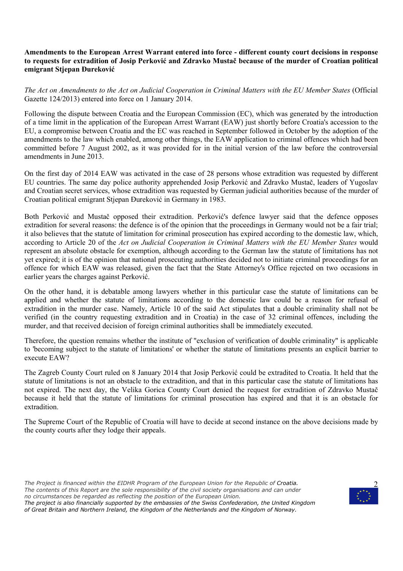#### **Amendments to the European Arrest Warrant entered into force - different county court decisions in response to requests for extradition of Josip Perković and Zdravko Mustač because of the murder of Croatian political emigrant Stjepan ðureković**

*The Act on Amendments to the Act on Judicial Cooperation in Criminal Matters with the EU Member States* (Official Gazette 124/2013) entered into force on 1 January 2014.

Following the dispute between Croatia and the European Commission (EC), which was generated by the introduction of a time limit in the application of the European Arrest Warrant (EAW) just shortly before Croatia's accession to the EU, a compromise between Croatia and the EC was reached in September followed in October by the adoption of the amendments to the law which enabled, among other things, the EAW application to criminal offences which had been committed before 7 August 2002, as it was provided for in the initial version of the law before the controversial amendments in June 2013.

On the first day of 2014 EAW was activated in the case of 28 persons whose extradition was requested by different EU countries. The same day police authority apprehended Josip Perković and Zdravko Mustač, leaders of Yugoslav and Croatian secret services, whose extradition was requested by German judicial authorities because of the murder of Croatian political emigrant Stjepan ðureković in Germany in 1983.

Both Perković and Mustač opposed their extradition. Perković's defence lawyer said that the defence opposes extradition for several reasons: the defence is of the opinion that the proceedings in Germany would not be a fair trial; it also believes that the statute of limitation for criminal prosecution has expired according to the domestic law, which, according to Article 20 of the *Act on Judicial Cooperation in Criminal Matters with the EU Member States* would represent an absolute obstacle for exemption, although according to the German law the statute of limitations has not yet expired; it is of the opinion that national prosecuting authorities decided not to initiate criminal proceedings for an offence for which EAW was released, given the fact that the State Attorney's Office rejected on two occasions in earlier years the charges against Perković.

On the other hand, it is debatable among lawyers whether in this particular case the statute of limitations can be applied and whether the statute of limitations according to the domestic law could be a reason for refusal of extradition in the murder case. Namely, Article 10 of the said Act stipulates that a double criminality shall not be verified (in the country requesting extradition and in Croatia) in the case of 32 criminal offences, including the murder, and that received decision of foreign criminal authorities shall be immediately executed.

Therefore, the question remains whether the institute of "exclusion of verification of double criminality" is applicable to 'becoming subject to the statute of limitations' or whether the statute of limitations presents an explicit barrier to execute EAW?

The Zagreb County Court ruled on 8 January 2014 that Josip Perković could be extradited to Croatia. It held that the statute of limitations is not an obstacle to the extradition, and that in this particular case the statute of limitations has not expired. The next day, the Velika Gorica County Court denied the request for extradition of Zdravko Mustač because it held that the statute of limitations for criminal prosecution has expired and that it is an obstacle for extradition.

The Supreme Court of the Republic of Croatia will have to decide at second instance on the above decisions made by the county courts after they lodge their appeals.

*The Project is financed within the EIDHR Program of the European Union for the Republic of Croatia. The contents of this Report are the sole responsibility of the civil society organisations and can under no circumstances be regarded as reflecting the position of the European Union.* 



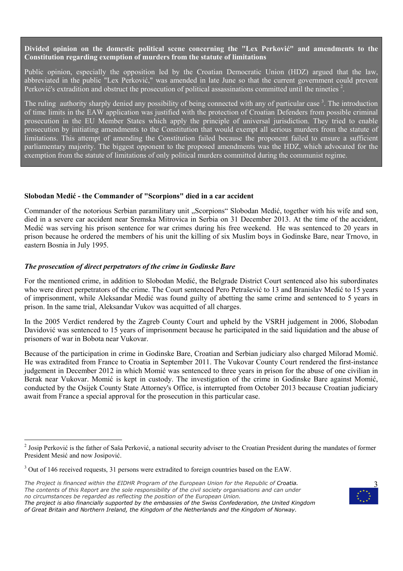### **Divided opinion on the domestic political scene concerning the "Lex Perković" and amendments to the Constitution regarding exemption of murders from the statute of limitations**

Public opinion, especially the opposition led by the Croatian Democratic Union (HDZ) argued that the law, abbreviated in the public "Lex Perković," was amended in late June so that the current government could prevent Perković's extradition and obstruct the prosecution of political assassinations committed until the nineties  $2$ .

The ruling authority sharply denied any possibility of being connected with any of particular case<sup>3</sup>. The introduction of time limits in the EAW application was justified with the protection of Croatian Defenders from possible criminal prosecution in the EU Member States which apply the principle of universal jurisdiction. They tried to enable prosecution by initiating amendments to the Constitution that would exempt all serious murders from the statute of limitations. This attempt of amending the Constitution failed because the proponent failed to ensure a sufficient parliamentary majority. The biggest opponent to the proposed amendments was the HDZ, which advocated for the exemption from the statute of limitations of only political murders committed during the communist regime.

#### **Slobodan Medić - the Commander of "Scorpions" died in a car accident**

Commander of the notorious Serbian paramilitary unit "Scorpions" Slobodan Medić, together with his wife and son, died in a severe car accident near Sremska Mitrovica in Serbia on 31 December 2013. At the time of the accident, Medić was serving his prison sentence for war crimes during his free weekend. He was sentenced to 20 years in prison because he ordered the members of his unit the killing of six Muslim boys in Godinske Bare, near Trnovo, in eastern Bosnia in July 1995.

#### *The prosecution of direct perpetrators of the crime in Godinske Bare*

For the mentioned crime, in addition to Slobodan Medić, the Belgrade District Court sentenced also his subordinates who were direct perpetrators of the crime. The Court sentenced Pero Petrašević to 13 and Branislav Medić to 15 years of imprisonment, while Aleksandar Medić was found guilty of abetting the same crime and sentenced to 5 years in prison. In the same trial, Aleksandar Vukov was acquitted of all charges.

In the 2005 Verdict rendered by the Zagreb County Court and upheld by the VSRH judgement in 2006, Slobodan Davidović was sentenced to 15 years of imprisonment because he participated in the said liquidation and the abuse of prisoners of war in Bobota near Vukovar.

Because of the participation in crime in Godinske Bare, Croatian and Serbian judiciary also charged Milorad Momić. He was extradited from France to Croatia in September 2011. The Vukovar County Court rendered the first-instance judgement in December 2012 in which Momić was sentenced to three years in prison for the abuse of one civilian in Berak near Vukovar. Momić is kept in custody. The investigation of the crime in Godinske Bare against Momić, conducted by the Osijek County State Attorney's Office, is interrupted from October 2013 because Croatian judiciary await from France a special approval for the prosecution in this particular case.

 $\overline{a}$ 



 $2$  Josip Perković is the father of Saša Perković, a national security adviser to the Croatian President during the mandates of former President Mesić and now Josipović.

 $3$  Out of 146 received requests, 31 persons were extradited to foreign countries based on the EAW.

*The Project is financed within the EIDHR Program of the European Union for the Republic of Croatia. The contents of this Report are the sole responsibility of the civil society organisations and can under no circumstances be regarded as reflecting the position of the European Union.* 

*The project is also financially supported by the embassies of the Swiss Confederation, the United Kingdom of Great Britain and Northern Ireland, the Kingdom of the Netherlands and the Kingdom of Norway.*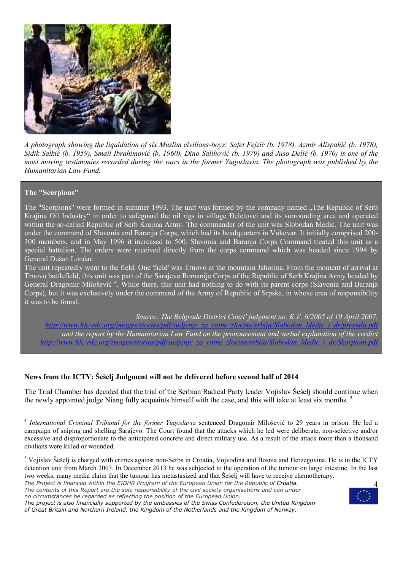

*A photograph showing the liquidation of six Muslim civilians-boys: Safet Fejzić (b. 1978), Azmir Alispahić (b. 1978), Sidik Salkić (b. 1959), Smail Ibrahimović (b. 1960), Dino Salihović (b. 1979) and Juso Delić (b. 1970) is one of the most moving testimonies recorded during the wars in the former Yugoslavia. The photograph was published by the Humanitarian Law Fund.* 

#### **The "Scorpions"**

The "Scorpions" were formed in summer 1993. The unit was formed by the company named "The Republic of Serb" Krajina Oil Industry" in order to safeguard the oil rigs in village ðeletovci and its surrounding area and operated within the so-called Republic of Serb Krajina Army. The commander of the unit was Slobodan Medić. The unit was under the command of Slavonia and Baranja Corps, which had its headquarters in Vukovar. It initially comprised 200- 300 members, and in May 1996 it increased to 500. Slavonia and Baranja Corps Command treated this unit as a special battalion. The orders were received directly from the corps command which was headed since 1994 by General Dušan Lončar.

The unit repeatedly went to the field. One 'field' was Trnovo at the mountain Jahorina. From the moment of arrival at Trnovo battlefield, this unit was part of the Sarajevo Romanija Corps of the Republic of Serb Krajina Army headed by General Dragomir Milošević<sup>4</sup>. While there, this unit had nothing to do with its parent corps (Slavonia and Baranja Corps), but it was exclusively under the command of the Army of Republic of Srpska, in whose area of responsibility it was to be found.

*Source: The Belgrade District Court' judgment no. K.V. 6/2005 of 10 April 2007. http://www.hlc-rdc.org/images/stories/pdf/sudjenje\_za\_ratne\_zlocine/srbija/Slobodan\_Medic\_i\_dr/presuda.pdf and the report by the Humanitarian Law Fund on the pronoucement and verbal explanation of the verdict http://www.hlc-rdc.org/images/stories/pdf/sudjenje\_za\_ratne\_zlocine/srbija/Slobodan\_Medic\_i\_dr/Skorpioni.pdf*

## **News from the ICTY: Šešelj Judgment will not be delivered before second half of 2014**

The Trial Chamber has decided that the trial of the Serbian Radical Party leader Vojislav Šešelj should continue when the newly appointed judge Niang fully acquaints himself with the case, and this will take at least six months.<sup>5</sup>

*The Project is financed within the EIDHR Program of the European Union for the Republic of Croatia. The contents of this Report are the sole responsibility of the civil society organisations and can under* 



 4 *International Criminal Tribunal for the former Yugoslavia* sentenced Dragomir Milošević to 29 years in prison. He led a campaign of sniping and shelling Sarajevo. The Court found that the attacks which he led were deliberate, non-selective and/or excessive and disproportionate to the anticipated concrete and direct military use. As a result of the attack more than a thousand civilians were killed or wounded.

<sup>&</sup>lt;sup>5</sup> Vojislav Šešelj is charged with crimes against non-Serbs in Croatia, Vojvodina and Bosnia and Herzegovina. He is in the ICTY detention unit from March 2003. In December 2013 he was subjected to the operation of the tumour on large intestine. In the last two weeks, many media claim that the tumour has metastasized and that Šešelj will have to receive chemotherapy.

*no circumstances be regarded as reflecting the position of the European Union.* 

*The project is also financially supported by the embassies of the Swiss Confederation, the United Kingdom of Great Britain and Northern Ireland, the Kingdom of the Netherlands and the Kingdom of Norway.*